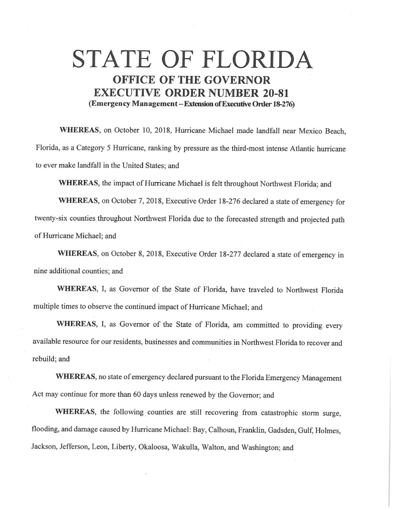## **STATE OF FLORIDA OFFICE OF THE GOVERNOR EXECUTIVE ORDER NUMBER 20-81 (Emergency Management-Extension ofExecutive Order 18-276)**

**WHEREAS,** on October 10, 2018, Hurricane Michael made landfall near Mexico Beach, Florida, as a Category 5 Hurricane, ranking by pressure as the third-most intense Atlantic hurricane to ever make landfall in the United States; and

**WHEREAS,** the impact of Hurricane Michael is felt throughout Northwest Florida; and

**WHEREAS,** on October 7, 2018, Executive Order 18-276 declared a state of emergency for twenty-six counties throughout Northwest Florida due to the forecasted strength and projected path of Hurricane Michael; and

**WHEREAS,** on October 8, 2018, Executive Order 18-277 declared a state of emergency in nine additional counties; and

**WHEREAS,** I, as Governor of the State of Florida, have traveled to Northwest Florida multiple times to observe the continued impact of Hurricane Michael; and

**WHEREAS,** I, as Governor of the State of Florida, am committed to providing every available resource for our residents, businesses and communities in Northwest Florida to recover and rebuild; and

**WHEREAS,** no state of emergency declared pursuant to the Florida Emergency Management Act may continue for more than 60 days unless renewed by the Governor; and

WHEREAS, the following counties are still recovering from catastrophic storm surge, flooding, and damage caused by Hurricane Michael: Bay, Calhoun, Franklin, Gadsden, Gulf, Holmes, Jackson, Jefferson, Leon, Liberty, Okaloosa, Wakulla, Walton, and Washington; and